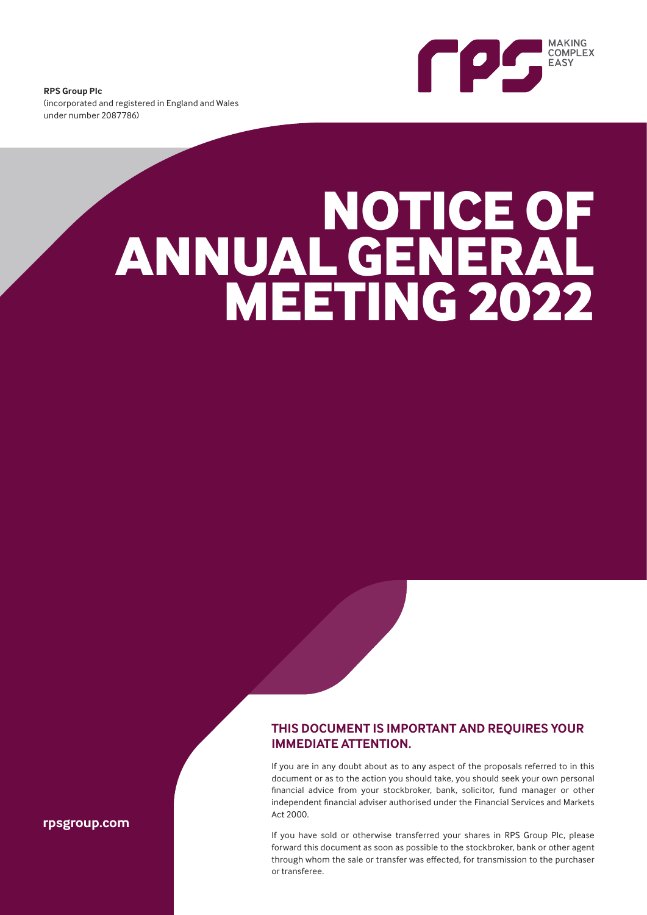**RPS Group Plc** (incorporated and registered in England and Wales under number 2087786)



# **NOTICE OF ANNUAL GENERAL MEETING 2022**

# **THIS DOCUMENT IS IMPORTANT AND REQUIRES YOUR IMMEDIATE ATTENTION.**

If you are in any doubt about as to any aspect of the proposals referred to in this document or as to the action you should take, you should seek your own personal financial advice from your stockbroker, bank, solicitor, fund manager or other independent financial adviser authorised under the Financial Services and Markets Act 2000.

If you have sold or otherwise transferred your shares in RPS Group Plc, please forward this document as soon as possible to the stockbroker, bank or other agent through whom the sale or transfer was effected, for transmission to the purchaser or transferee.

**rpsgroup.com**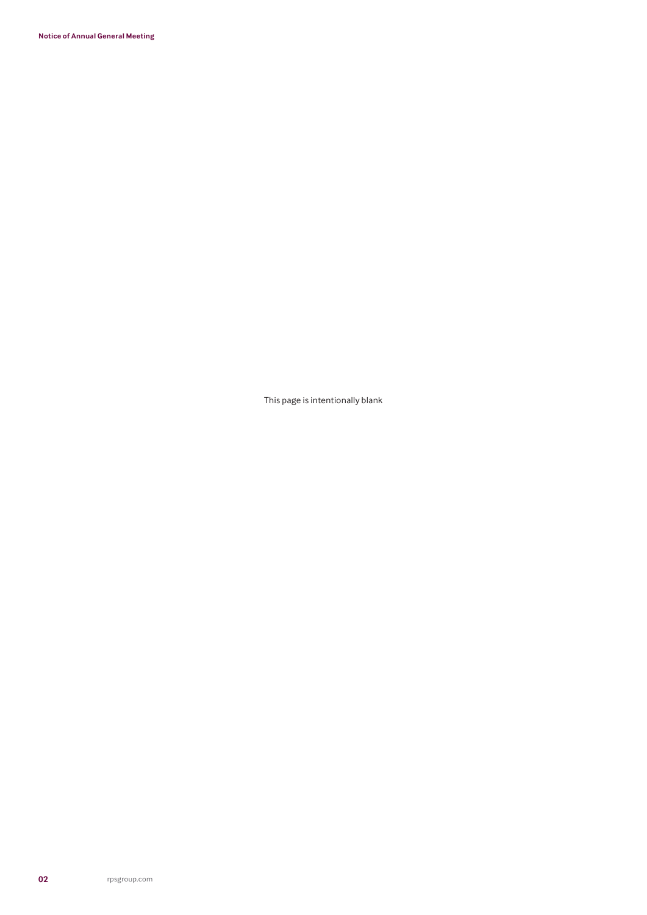**Notice of Annual General Meeting**

This page is intentionally blank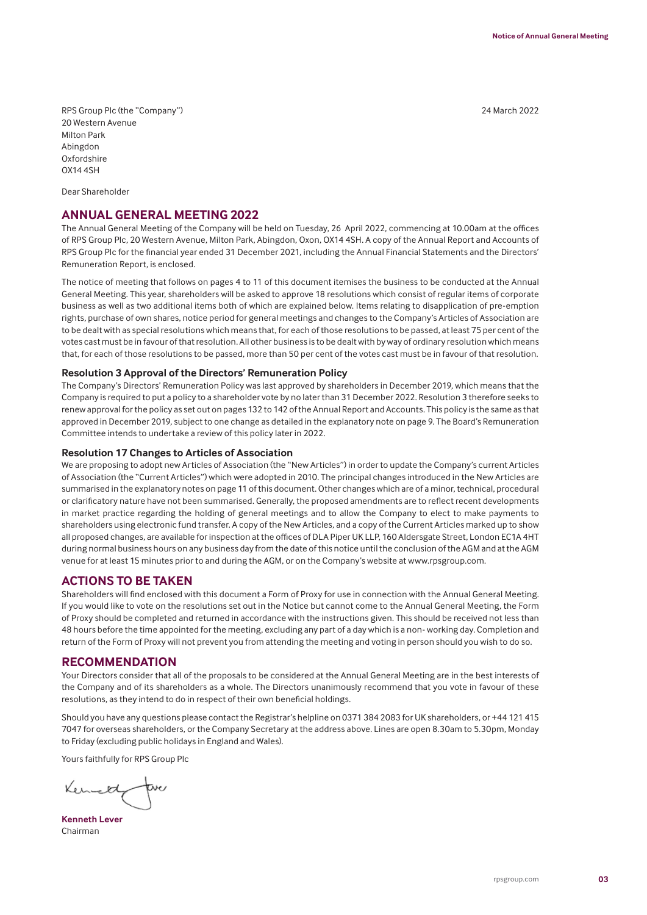RPS Group Plc (the "Company") 24 March 2022 20 Western Avenue Milton Park Abingdon Oxfordshire OX14 4SH

Dear Shareholder

# **ANNUAL GENERAL MEETING 2022**

The Annual General Meeting of the Company will be held on Tuesday, 26 April 2022, commencing at 10.00am at the offices of RPS Group Plc, 20 Western Avenue, Milton Park, Abingdon, Oxon, OX14 4SH. A copy of the Annual Report and Accounts of RPS Group Plc for the financial year ended 31 December 2021, including the Annual Financial Statements and the Directors' Remuneration Report, is enclosed.

The notice of meeting that follows on pages 4 to 11 of this document itemises the business to be conducted at the Annual General Meeting. This year, shareholders will be asked to approve 18 resolutions which consist of regular items of corporate business as well as two additional items both of which are explained below. Items relating to disapplication of pre-emption rights, purchase of own shares, notice period for general meetings and changes to the Company's Articles of Association are to be dealt with as special resolutions which means that, for each of those resolutions to be passed, at least 75 per cent of the votes cast must be in favour of that resolution. All other business is to be dealt with by way of ordinary resolution which means that, for each of those resolutions to be passed, more than 50 per cent of the votes cast must be in favour of that resolution.

#### **Resolution 3 Approval of the Directors' Remuneration Policy**

The Company's Directors' Remuneration Policy was last approved by shareholders in December 2019, which means that the Company is required to put a policy to a shareholder vote by no later than 31 December 2022. Resolution 3 therefore seeks to renew approval for the policy as set out on pages 132 to 142 of the Annual Report and Accounts. This policy is the same as that approved in December 2019, subject to one change as detailed in the explanatory note on page 9. The Board's Remuneration Committee intends to undertake a review of this policy later in 2022.

#### **Resolution 17 Changes to Articles of Association**

We are proposing to adopt new Articles of Association (the "New Articles") in order to update the Company's current Articles of Association (the "Current Articles") which were adopted in 2010. The principal changes introduced in the New Articles are summarised in the explanatory notes on page 11 of this document. Other changes which are of a minor, technical, procedural or clarificatory nature have not been summarised. Generally, the proposed amendments are to reflect recent developments in market practice regarding the holding of general meetings and to allow the Company to elect to make payments to shareholders using electronic fund transfer. A copy of the New Articles, and a copy of the Current Articles marked up to show all proposed changes, are available for inspection at the offices of DLA Piper UK LLP, 160 Aldersgate Street, London EC1A 4HT during normal business hours on any business day from the date of this notice until the conclusion of the AGM and at the AGM venue for at least 15 minutes prior to and during the AGM, or on the Company's website at www.rpsgroup.com.

# **ACTIONS TO BE TAKEN**

Shareholders will find enclosed with this document a Form of Proxy for use in connection with the Annual General Meeting. If you would like to vote on the resolutions set out in the Notice but cannot come to the Annual General Meeting, the Form of Proxy should be completed and returned in accordance with the instructions given. This should be received not less than 48 hours before the time appointed for the meeting, excluding any part of a day which is a non- working day. Completion and return of the Form of Proxy will not prevent you from attending the meeting and voting in person should you wish to do so.

## **RECOMMENDATION**

Your Directors consider that all of the proposals to be considered at the Annual General Meeting are in the best interests of the Company and of its shareholders as a whole. The Directors unanimously recommend that you vote in favour of these resolutions, as they intend to do in respect of their own beneficial holdings.

Should you have any questions please contact the Registrar's helpline on 0371 384 2083 for UK shareholders, or +44 121 415 7047 for overseas shareholders, or the Company Secretary at the address above. Lines are open 8.30am to 5.30pm, Monday to Friday (excluding public holidays in England and Wales).

Yours faithfully for RPS Group Plc

Kennet

**Kenneth Lever** Chairman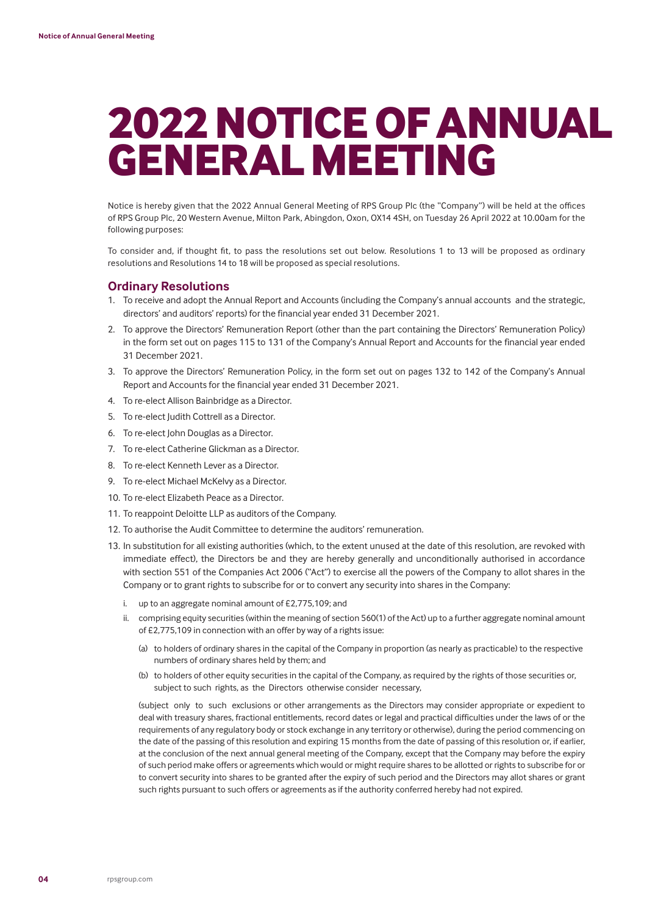# **2022 NOTICE OF ANNUAL GENERAL MEETING**

Notice is hereby given that the 2022 Annual General Meeting of RPS Group Plc (the "Company") will be held at the offices of RPS Group Plc, 20 Western Avenue, Milton Park, Abingdon, Oxon, OX14 4SH, on Tuesday 26 April 2022 at 10.00am for the following purposes:

To consider and, if thought fit, to pass the resolutions set out below. Resolutions 1 to 13 will be proposed as ordinary resolutions and Resolutions 14 to 18 will be proposed as special resolutions.

## **Ordinary Resolutions**

- 1. To receive and adopt the Annual Report and Accounts (including the Company's annual accounts and the strategic, directors' and auditors' reports) for the financial year ended 31 December 2021.
- 2. To approve the Directors' Remuneration Report (other than the part containing the Directors' Remuneration Policy) in the form set out on pages 115 to 131 of the Company's Annual Report and Accounts for the financial year ended 31 December 2021.
- 3. To approve the Directors' Remuneration Policy, in the form set out on pages 132 to 142 of the Company's Annual Report and Accounts for the financial year ended 31 December 2021.
- 4. To re-elect Allison Bainbridge as a Director.
- 5. To re-elect Judith Cottrell as a Director.
- 6. To re-elect John Douglas as a Director.
- 7. To re-elect Catherine Glickman as a Director.
- 8. To re-elect Kenneth Lever as a Director.
- 9. To re-elect Michael McKelvy as a Director.
- 10. To re-elect Elizabeth Peace as a Director.
- 11. To reappoint Deloitte LLP as auditors of the Company.
- 12. To authorise the Audit Committee to determine the auditors' remuneration.
- 13. In substitution for all existing authorities (which, to the extent unused at the date of this resolution, are revoked with immediate effect), the Directors be and they are hereby generally and unconditionally authorised in accordance with section 551 of the Companies Act 2006 ("Act") to exercise all the powers of the Company to allot shares in the Company or to grant rights to subscribe for or to convert any security into shares in the Company:
	- i. up to an aggregate nominal amount of £2,775,109; and
	- ii. comprising equity securities (within the meaning of section 560(1) of the Act) up to a further aggregate nominal amount of £2,775,109 in connection with an offer by way of a rights issue:
		- (a) to holders of ordinary shares in the capital of the Company in proportion (as nearly as practicable) to the respective numbers of ordinary shares held by them; and
		- (b) to holders of other equity securities in the capital of the Company, as required by the rights of those securities or, subject to such rights, as the Directors otherwise consider necessary,

(subject only to such exclusions or other arrangements as the Directors may consider appropriate or expedient to deal with treasury shares, fractional entitlements, record dates or legal and practical difficulties under the laws of or the requirements of any regulatory body or stock exchange in any territory or otherwise), during the period commencing on the date of the passing of this resolution and expiring 15 months from the date of passing of this resolution or, if earlier, at the conclusion of the next annual general meeting of the Company, except that the Company may before the expiry of such period make offers or agreements which would or might require shares to be allotted or rights to subscribe for or to convert security into shares to be granted after the expiry of such period and the Directors may allot shares or grant such rights pursuant to such offers or agreements as if the authority conferred hereby had not expired.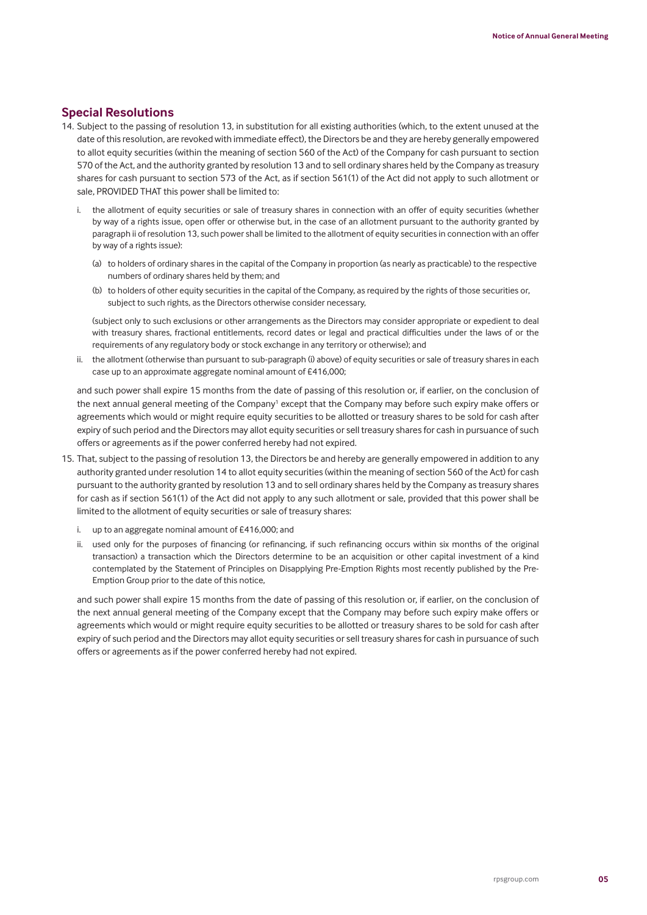# **Special Resolutions**

- 14. Subject to the passing of resolution 13, in substitution for all existing authorities (which, to the extent unused at the date of this resolution, are revoked with immediate effect), the Directors be and they are hereby generally empowered to allot equity securities (within the meaning of section 560 of the Act) of the Company for cash pursuant to section 570 of the Act, and the authority granted by resolution 13 and to sell ordinary shares held by the Company as treasury shares for cash pursuant to section 573 of the Act, as if section 561(1) of the Act did not apply to such allotment or sale, PROVIDED THAT this power shall be limited to:
	- i. the allotment of equity securities or sale of treasury shares in connection with an offer of equity securities (whether by way of a rights issue, open offer or otherwise but, in the case of an allotment pursuant to the authority granted by paragraph ii of resolution 13, such power shall be limited to the allotment of equity securities in connection with an offer by way of a rights issue):
		- (a) to holders of ordinary shares in the capital of the Company in proportion (as nearly as practicable) to the respective numbers of ordinary shares held by them; and
		- (b) to holders of other equity securities in the capital of the Company, as required by the rights of those securities or, subject to such rights, as the Directors otherwise consider necessary,

(subject only to such exclusions or other arrangements as the Directors may consider appropriate or expedient to deal with treasury shares, fractional entitlements, record dates or legal and practical difficulties under the laws of or the requirements of any regulatory body or stock exchange in any territory or otherwise); and

ii. the allotment (otherwise than pursuant to sub-paragraph (i) above) of equity securities or sale of treasury shares in each case up to an approximate aggregate nominal amount of £416,000;

and such power shall expire 15 months from the date of passing of this resolution or, if earlier, on the conclusion of the next annual general meeting of the Company<sup>1</sup> except that the Company may before such expiry make offers or agreements which would or might require equity securities to be allotted or treasury shares to be sold for cash after expiry of such period and the Directors may allot equity securities or sell treasury shares for cash in pursuance of such offers or agreements as if the power conferred hereby had not expired.

- 15. That, subject to the passing of resolution 13, the Directors be and hereby are generally empowered in addition to any authority granted under resolution 14 to allot equity securities (within the meaning of section 560 of the Act) for cash pursuant to the authority granted by resolution 13 and to sell ordinary shares held by the Company as treasury shares for cash as if section 561(1) of the Act did not apply to any such allotment or sale, provided that this power shall be limited to the allotment of equity securities or sale of treasury shares:
	- i. up to an aggregate nominal amount of £416,000; and
	- ii. used only for the purposes of financing (or refinancing, if such refinancing occurs within six months of the original transaction) a transaction which the Directors determine to be an acquisition or other capital investment of a kind contemplated by the Statement of Principles on Disapplying Pre-Emption Rights most recently published by the Pre-Emption Group prior to the date of this notice,

and such power shall expire 15 months from the date of passing of this resolution or, if earlier, on the conclusion of the next annual general meeting of the Company except that the Company may before such expiry make offers or agreements which would or might require equity securities to be allotted or treasury shares to be sold for cash after expiry of such period and the Directors may allot equity securities or sell treasury shares for cash in pursuance of such offers or agreements as if the power conferred hereby had not expired.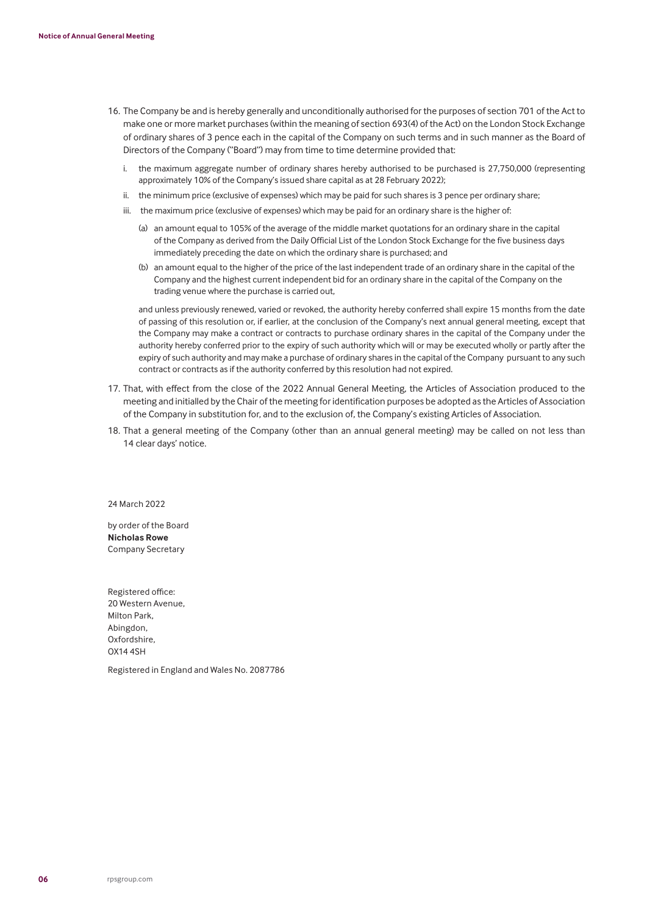- 16. The Company be and is hereby generally and unconditionally authorised for the purposes of section 701 of the Act to make one or more market purchases (within the meaning of section 693(4) of the Act) on the London Stock Exchange of ordinary shares of 3 pence each in the capital of the Company on such terms and in such manner as the Board of Directors of the Company ("Board") may from time to time determine provided that:
	- i. the maximum aggregate number of ordinary shares hereby authorised to be purchased is 27,750,000 (representing approximately 10% of the Company's issued share capital as at 28 February 2022);
	- ii. the minimum price (exclusive of expenses) which may be paid for such shares is 3 pence per ordinary share;
	- iii. the maximum price (exclusive of expenses) which may be paid for an ordinary share is the higher of:
		- (a) an amount equal to 105% of the average of the middle market quotations for an ordinary share in the capital of the Company as derived from the Daily Official List of the London Stock Exchange for the five business days immediately preceding the date on which the ordinary share is purchased; and
		- (b) an amount equal to the higher of the price of the last independent trade of an ordinary share in the capital of the Company and the highest current independent bid for an ordinary share in the capital of the Company on the trading venue where the purchase is carried out,

and unless previously renewed, varied or revoked, the authority hereby conferred shall expire 15 months from the date of passing of this resolution or, if earlier, at the conclusion of the Company's next annual general meeting, except that the Company may make a contract or contracts to purchase ordinary shares in the capital of the Company under the authority hereby conferred prior to the expiry of such authority which will or may be executed wholly or partly after the expiry of such authority and may make a purchase of ordinary shares in the capital of the Company pursuant to any such contract or contracts as if the authority conferred by this resolution had not expired.

- 17. That, with effect from the close of the 2022 Annual General Meeting, the Articles of Association produced to the meeting and initialled by the Chair of the meeting for identification purposes be adopted as the Articles of Association of the Company in substitution for, and to the exclusion of, the Company's existing Articles of Association.
- 18. That a general meeting of the Company (other than an annual general meeting) may be called on not less than 14 clear days' notice.

24 March 2022

by order of the Board **Nicholas Rowe**  Company Secretary

Registered office: 20 Western Avenue, Milton Park, Abingdon, Oxfordshire, OX14 4SH

Registered in England and Wales No. 2087786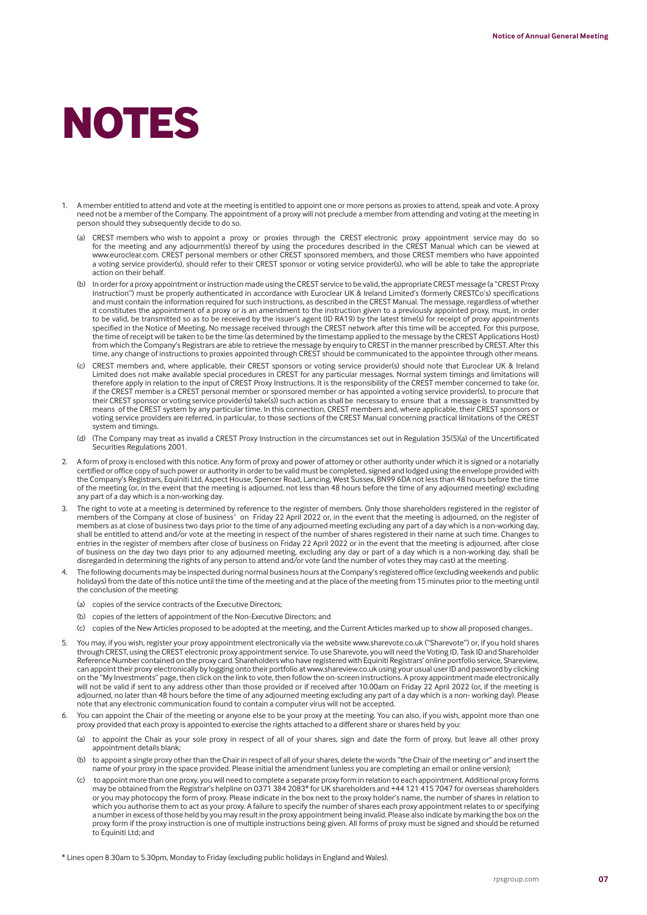# **NOTES**

- 1. A member entitled to attend and vote at the meeting is entitled to appoint one or more persons as proxies to attend, speak and vote. A proxy need not be a member of the Company. The appointment of a proxy will not preclude a member from attending and voting at the meeting in person should they subsequently decide to do so.
	- CREST members who wish to appoint a proxy or proxies through the CREST electronic proxy appointment service may do so for the meeting and any adjournment(s) thereof by using the procedures described in the CREST Manual which can be viewed at www.euroclear.com. CREST personal members or other CREST sponsored members, and those CREST members who have appointed a voting service provider(s), should refer to their CREST sponsor or voting service provider(s), who will be able to take the appropriate action on their behalf.
	- (b) In order for a proxy appointment or instruction made using the CREST service to be valid, the appropriate CREST message (a "CREST Proxy Instruction'') must be properly authenticated in accordance with Euroclear UK & Ireland Limited's (formerly CRESTCo's) specifications and must contain the information required for such instructions, as described in the CREST Manual. The message, regardless of whether it constitutes the appointment of a proxy or is an amendment to the instruction given to a previously appointed proxy, must, in order to be valid, be transmitted so as to be received by the issuer's agent (ID RA19) by the latest time(s) for receipt of proxy appointments specified in the Notice of Meeting. No message received through the CREST network after this time will be accepted. For this purpose, the time of receipt will be taken to be the time (as determined by the timestamp applied to the message by the CREST Applications Host) from which the Company's Registrars are able to retrieve the message by enquiry to CREST in the manner prescribed by CREST. After this time, any change of instructions to proxies appointed through CREST should be communicated to the appointee through other means.
	- (c) CREST members and, where applicable, their CREST sponsors or voting service provider(s) should note that Euroclear UK & Ireland Limited does not make available special procedures in CREST for any particular messages. Normal system timings and limitations will therefore apply in relation to the input of CREST Proxy Instructions. It is the responsibility of the CREST member concerned to take (or, if the CREST member is a CREST personal member or sponsored member or has appointed a voting service provider(s), to procure that their CREST sponsor or voting service provider(s) take(s)) such action as shall be necessary to ensure that a message is transmitted by means of the CREST system by any particular time. In this connection, CREST members and, where applicable, their CREST sponsors or voting service providers are referred, in particular, to those sections of the CREST Manual concerning practical limitations of the CREST system and timings.
	- (d) (The Company may treat as invalid a CREST Proxy Instruction in the circumstances set out in Regulation 35(5)(a) of the Uncertificated Securities Regulations 2001.
- 2. A form of proxy is enclosed with this notice. Any form of proxy and power of attorney or other authority under which it is signed or a notarially certified or office copy of such power or authority in order to be valid must be completed, signed and lodged using the envelope provided with the Company's Registrars, Equiniti Ltd, Aspect House, Spencer Road, Lancing, West Sussex, BN99 6DA not less than 48 hours before the time of the meeting (or, in the event that the meeting is adjourned, not less than 48 hours before the time of any adjourned meeting) excluding any part of a day which is a non-working day.
- 3. The right to vote at a meeting is determined by reference to the register of members. Only those shareholders registered in the register of<br>members of the Company at close of business<sup>1</sup> on Friday 22 April 2022 or, in t members as at close of business two days prior to the time of any adjourned meeting excluding any part of a day which is a non-working day, shall be entitled to attend and/or vote at the meeting in respect of the number of shares registered in their name at such time. Changes to entries in the register of members after close of business on Friday 22 April 2022 or in the event that the meeting is adjourned, after close of business on the day two days prior to any adjourned meeting, excluding any day or part of a day which is a non-working day, shall be disregarded in determining the rights of any person to attend and/or vote (and the number of votes they may cast) at the meeting
- 4. The following documents may be inspected during normal business hours at the Company's registered office (excluding weekends and public holidays) from the date of this notice until the time of the meeting and at the place of the meeting from 15 minutes prior to the meeting until the conclusion of the meeting:
	- (a) copies of the service contracts of the Executive Directors;
	- (b) copies of the letters of appointment of the Non-Executive Directors; and
	- (c) copies of the New Articles proposed to be adopted at the meeting, and the Current Articles marked up to show all proposed changes..
- 5. You may, if you wish, register your proxy appointment electronically via the website www.sharevote.co.uk ("Sharevote") or, if you hold shares through CREST, using the CREST electronic proxy appointment service. To use Sharevote, you will need the Voting ID, Task ID and Shareholder Reference Number contained on the proxy card. Shareholders who have registered with Equiniti Registrars' online portfolio service, Shareview, can appoint their proxy electronically by logging onto their portfolio at www.shareview.co.uk using your usual user ID and password by clicking on the "My Investments" page, then click on the link to vote, then follow the on-screen instructions. A proxy appointment made electronically will not be valid if sent to any address other than those provided or if received after 10.00am on Friday 22 April 2022 (or, if the meeting is adjourned, no later than 48 hours before the time of any adjourned meeting excluding any part of a day which is a non- working day). Please note that any electronic communication found to contain a computer virus will not be accepted.
- You can appoint the Chair of the meeting or anyone else to be your proxy at the meeting. You can also, if you wish, appoint more than one proxy provided that each proxy is appointed to exercise the rights attached to a different share or shares held by you:
	- (a) to appoint the Chair as your sole proxy in respect of all of your shares, sign and date the form of proxy, but leave all other proxy appointment details blank;
	- (b) to appoint a single proxy other than the Chair in respect of all of your shares, delete the words "the Chair of the meeting or" and insert the name of your proxy in the space provided. Please initial the amendment (unless you are completing an email or online version);
	- (c) to appoint more than one proxy, you will need to complete a separate proxy form in relation to each appointment. Additional proxy forms may be obtained from the Registrar's helpline on 0371 384 2083\* for UK shareholders and +44 121 415 7047 for overseas shareholders or you may photocopy the form of proxy. Please indicate in the box next to the proxy holder's name, the number of shares in relation to which you authorise them to act as your proxy. A failure to specify the number of shares each proxy appointment relates to or specifying a number in excess of those held by you may result in the proxy appointment being invalid. Please also indicate by marking the box on the proxy form if the proxy instruction is one of multiple instructions being given. All forms of proxy must be signed and should be returned to Equiniti Ltd; and

\* Lines open 8.30am to 5.30pm, Monday to Friday (excluding public holidays in England and Wales).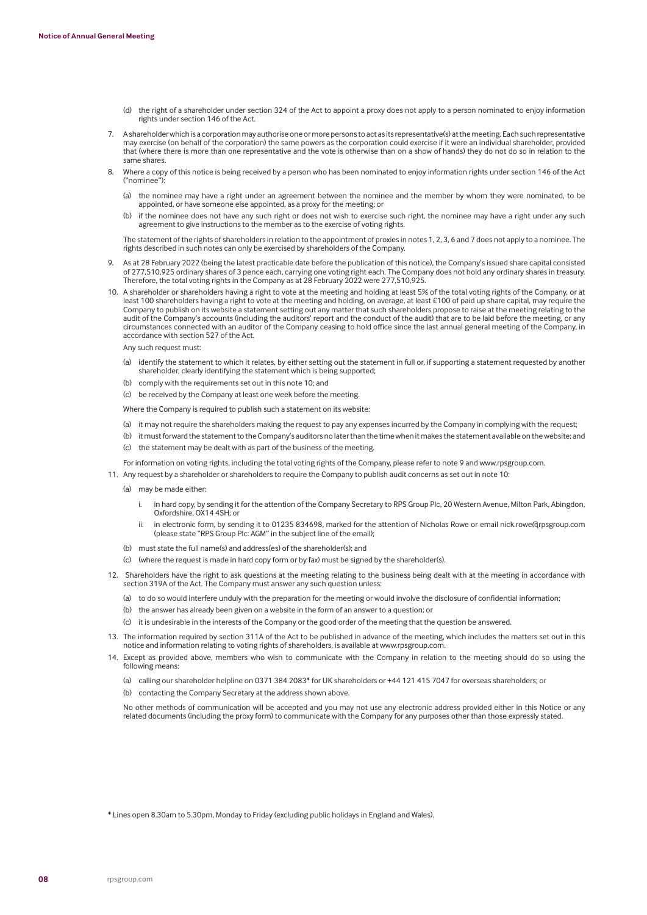- (d) the right of a shareholder under section 324 of the Act to appoint a proxy does not apply to a person nominated to enjoy information rights under section 146 of the Act.
- 7. A shareholder which is a corporation may authorise one or more persons to act as its representative(s) at the meeting. Each such representative may exercise (on behalf of the corporation) the same powers as the corporation could exercise if it were an individual shareholder, provided that (where there is more than one representative and the vote is otherwise than on a show of hands) they do not do so in relation to the same shares.
- 8. Where a copy of this notice is being received by a person who has been nominated to enjoy information rights under section 146 of the Act ("nominee"):
	- (a) the nominee may have a right under an agreement between the nominee and the member by whom they were nominated, to be appointed, or have someone else appointed, as a proxy for the meeting; or
	- (b) if the nominee does not have any such right or does not wish to exercise such right, the nominee may have a right under any such agreement to give instructions to the member as to the exercise of voting rights.

The statement of the rights of shareholders in relation to the appointment of proxies in notes 1, 2, 3, 6 and 7 does not apply to a nominee. The rights described in such notes can only be exercised by shareholders of the Company.

- 9. As at 28 February 2022 (being the latest practicable date before the publication of this notice), the Company's issued share capital consisted of 277,510,925 ordinary shares of 3 pence each, carrying one voting right each. The Company does not hold any ordinary shares in treasury. Therefore, the total voting rights in the Company as at 28 February 2022 were 277,510,925.
- 10. A shareholder or shareholders having a right to vote at the meeting and holding at least 5% of the total voting rights of the Company, or at least 100 shareholders having a right to vote at the meeting and holding, on average, at least £100 of paid up share capital, may require the Company to publish on its website a statement setting out any matter that such shareholders propose to raise at the meeting relating to the audit of the Company's accounts (including the auditors' report and the conduct of the audit) that are to be laid before the meeting, or any circumstances connected with an auditor of the Company ceasing to hold office since the last annual general meeting of the Company, in accordance with section 527 of the Act.
	- Any such request must:
	- (a) identify the statement to which it relates, by either setting out the statement in full or, if supporting a statement requested by another shareholder, clearly identifying the statement which is being supported;
	- (b) comply with the requirements set out in this note 10; and
	- (c) be received by the Company at least one week before the meeting.

Where the Company is required to publish such a statement on its website:

- (a) it may not require the shareholders making the request to pay any expenses incurred by the Company in complying with the request;
- (b) it must forward the statement to the Company's auditors no later than the time when it makes the statement available on the website; and (c) the statement may be dealt with as part of the business of the meeting.
- For information on voting rights, including the total voting rights of the Company, please refer to note 9 and www.rpsgroup.com.
- 11. Any request by a shareholder or shareholders to require the Company to publish audit concerns as set out in note 10:
	- (a) may be made either:
		- i. in hard copy, by sending it for the attention of the Company Secretary to RPS Group Plc, 20 Western Avenue, Milton Park, Abingdon, Oxfordshire, OX14 4SH; or
		- in electronic form, by sending it to 01235 834698, marked for the attention of Nicholas Rowe or email nick.rowe@rpsgroup.com (please state "RPS Group Plc: AGM" in the subject line of the email);
	- (b) must state the full name(s) and address(es) of the shareholder(s); and
	- (c) (where the request is made in hard copy form or by fax) must be signed by the shareholder(s).
- 12. Shareholders have the right to ask questions at the meeting relating to the business being dealt with at the meeting in accordance with section 319A of the Act. The Company must answer any such question unless:
	- (a) to do so would interfere unduly with the preparation for the meeting or would involve the disclosure of confidential information;
	- (b) the answer has already been given on a website in the form of an answer to a question; or
	- (c) it is undesirable in the interests of the Company or the good order of the meeting that the question be answered.
- 13. The information required by section 311A of the Act to be published in advance of the meeting, which includes the matters set out in this notice and information relating to voting rights of shareholders, is available at www.rpsgroup.com.
- 14. Except as provided above, members who wish to communicate with the Company in relation to the meeting should do so using the following means:
	- (a) calling our shareholder helpline on 0371 384 2083\* for UK shareholders or +44 121 415 7047 for overseas shareholders; or
	- (b) contacting the Company Secretary at the address shown above.

No other methods of communication will be accepted and you may not use any electronic address provided either in this Notice or any related documents (including the proxy form) to communicate with the Company for any purposes other than those expressly stated.

\* Lines open 8.30am to 5.30pm, Monday to Friday (excluding public holidays in England and Wales).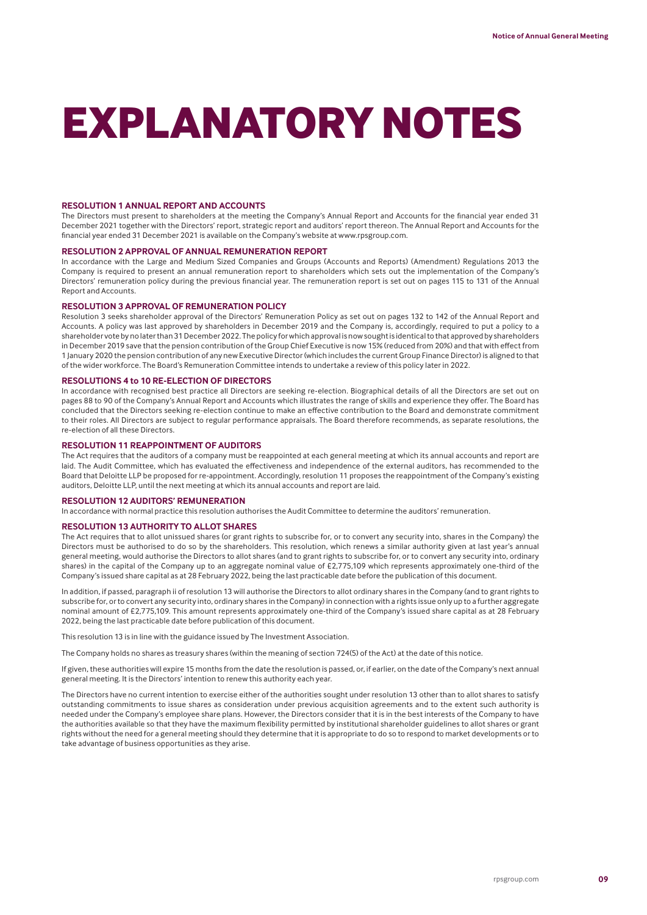# **EXPLANATORY NOTES**

#### **RESOLUTION 1 ANNUAL REPORT AND ACCOUNTS**

The Directors must present to shareholders at the meeting the Company's Annual Report and Accounts for the financial year ended 31 December 2021 together with the Directors' report, strategic report and auditors' report thereon. The Annual Report and Accounts for the financial year ended 31 December 2021 is available on the Company's website at www.rpsgroup.com.

#### **RESOLUTION 2 APPROVAL OF ANNUAL REMUNERATION REPORT**

In accordance with the Large and Medium Sized Companies and Groups (Accounts and Reports) (Amendment) Regulations 2013 the Company is required to present an annual remuneration report to shareholders which sets out the implementation of the Company's Directors' remuneration policy during the previous financial year. The remuneration report is set out on pages 115 to 131 of the Annual Report and Accounts.

#### **RESOLUTION 3 APPROVAL OF REMUNERATION POLICY**

Resolution 3 seeks shareholder approval of the Directors' Remuneration Policy as set out on pages 132 to 142 of the Annual Report and Accounts. A policy was last approved by shareholders in December 2019 and the Company is, accordingly, required to put a policy to a shareholder vote by no later than 31 December 2022. The policy for which approval is now sought is identical to that approved by shareholders in December 2019 save that the pension contribution of the Group Chief Executive is now 15% (reduced from 20%) and that with effect from 1 January 2020 the pension contribution of any new Executive Director (which includes the current Group Finance Director) is aligned to that of the wider workforce. The Board's Remuneration Committee intends to undertake a review of this policy later in 2022.

#### **RESOLUTIONS 4 to 10 RE-ELECTION OF DIRECTORS**

In accordance with recognised best practice all Directors are seeking re-election. Biographical details of all the Directors are set out on pages 88 to 90 of the Company's Annual Report and Accounts which illustrates the range of skills and experience they offer. The Board has concluded that the Directors seeking re-election continue to make an effective contribution to the Board and demonstrate commitment to their roles. All Directors are subject to regular performance appraisals. The Board therefore recommends, as separate resolutions, the re-election of all these Directors.

#### **RESOLUTION 11 REAPPOINTMENT OF AUDITORS**

The Act requires that the auditors of a company must be reappointed at each general meeting at which its annual accounts and report are laid. The Audit Committee, which has evaluated the effectiveness and independence of the external auditors, has recommended to the Board that Deloitte LLP be proposed for re-appointment. Accordingly, resolution 11 proposes the reappointment of the Company's existing auditors, Deloitte LLP, until the next meeting at which its annual accounts and report are laid.

#### **RESOLUTION 12 AUDITORS' REMUNERATION**

In accordance with normal practice this resolution authorises the Audit Committee to determine the auditors' remuneration.

### **RESOLUTION 13 AUTHORITY TO ALLOT SHARES**

The Act requires that to allot unissued shares (or grant rights to subscribe for, or to convert any security into, shares in the Company) the Directors must be authorised to do so by the shareholders. This resolution, which renews a similar authority given at last year's annual general meeting, would authorise the Directors to allot shares (and to grant rights to subscribe for, or to convert any security into, ordinary shares) in the capital of the Company up to an aggregate nominal value of £2,775,109 which represents approximately one-third of the Company's issued share capital as at 28 February 2022, being the last practicable date before the publication of this document.

In addition, if passed, paragraph ii of resolution 13 will authorise the Directors to allot ordinary shares in the Company (and to grant rights to subscribe for, or to convert any security into, ordinary shares in the Company) in connection with a rights issue only up to a further aggregate nominal amount of £2,775,109. This amount represents approximately one-third of the Company's issued share capital as at 28 February 2022, being the last practicable date before publication of this document.

This resolution 13 is in line with the guidance issued by The Investment Association.

The Company holds no shares as treasury shares (within the meaning of section 724(5) of the Act) at the date of this notice.

If given, these authorities will expire 15 months from the date the resolution is passed, or, if earlier, on the date of the Company's next annual general meeting. It is the Directors' intention to renew this authority each year.

The Directors have no current intention to exercise either of the authorities sought under resolution 13 other than to allot shares to satisfy outstanding commitments to issue shares as consideration under previous acquisition agreements and to the extent such authority is needed under the Company's employee share plans. However, the Directors consider that it is in the best interests of the Company to have the authorities available so that they have the maximum flexibility permitted by institutional shareholder guidelines to allot shares or grant rights without the need for a general meeting should they determine that it is appropriate to do so to respond to market developments or to take advantage of business opportunities as they arise.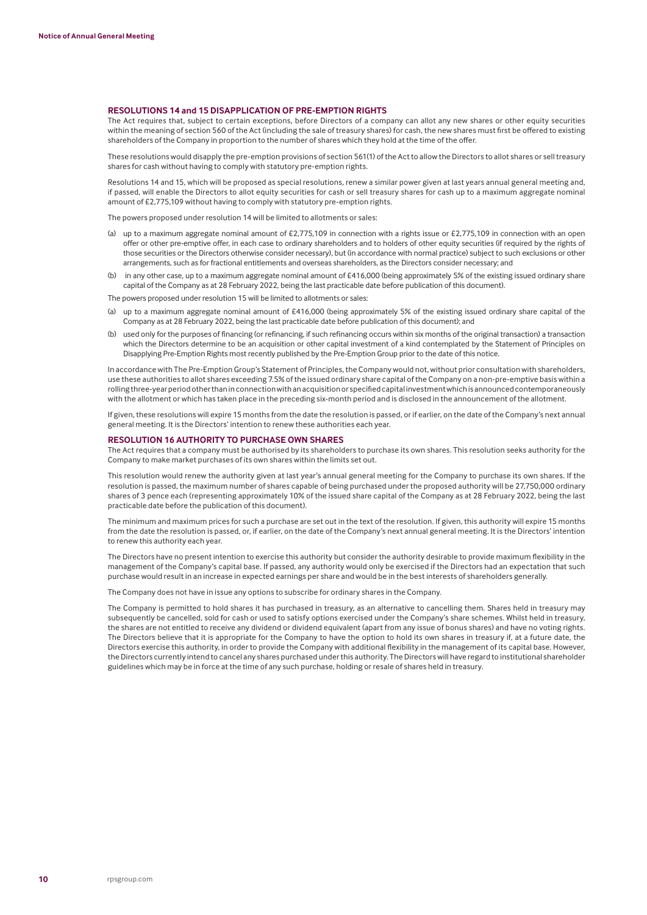#### **RESOLUTIONS 14 and 15 DISAPPLICATION OF PRE-EMPTION RIGHTS**

The Act requires that, subject to certain exceptions, before Directors of a company can allot any new shares or other equity securities within the meaning of section 560 of the Act (including the sale of treasury shares) for cash, the new shares must first be offered to existing shareholders of the Company in proportion to the number of shares which they hold at the time of the offer.

These resolutions would disapply the pre-emption provisions of section 561(1) of the Act to allow the Directors to allot shares or sell treasury shares for cash without having to comply with statutory pre-emption rights.

Resolutions 14 and 15, which will be proposed as special resolutions, renew a similar power given at last years annual general meeting and, if passed, will enable the Directors to allot equity securities for cash or sell treasury shares for cash up to a maximum aggregate nominal amount of £2,775,109 without having to comply with statutory pre-emption rights.

The powers proposed under resolution 14 will be limited to allotments or sales:

- (a) up to a maximum aggregate nominal amount of £2,775,109 in connection with a rights issue or £2,775,109 in connection with an open offer or other pre-emptive offer, in each case to ordinary shareholders and to holders of other equity securities (if required by the rights of those securities or the Directors otherwise consider necessary), but (in accordance with normal practice) subject to such exclusions or other arrangements, such as for fractional entitlements and overseas shareholders, as the Directors consider necessary; and
- (b) in any other case, up to a maximum aggregate nominal amount of £416,000 (being approximately 5% of the existing issued ordinary share capital of the Company as at 28 February 2022, being the last practicable date before publication of this document).

The powers proposed under resolution 15 will be limited to allotments or sales:

- (a) up to a maximum aggregate nominal amount of £416,000 (being approximately 5% of the existing issued ordinary share capital of the Company as at 28 February 2022, being the last practicable date before publication of this document); and
- (b) used only for the purposes of financing (or refinancing, if such refinancing occurs within six months of the original transaction) a transaction which the Directors determine to be an acquisition or other capital investment of a kind contemplated by the Statement of Principles on Disapplying Pre-Emption Rights most recently published by the Pre-Emption Group prior to the date of this notice.

In accordance with The Pre-Emption Group's Statement of Principles, the Company would not, without prior consultation with shareholders, use these authorities to allot shares exceeding 7.5% of the issued ordinary share capital of the Company on a non-pre-emptive basis within a rolling three-year period other than in connection with an acquisition or specified capital investment which is announced contemporaneously with the allotment or which has taken place in the preceding six-month period and is disclosed in the announcement of the allotment.

If given, these resolutions will expire 15 months from the date the resolution is passed, or if earlier, on the date of the Company's next annual general meeting. It is the Directors' intention to renew these authorities each year.

#### **RESOLUTION 16 AUTHORITY TO PURCHASE OWN SHARES**

The Act requires that a company must be authorised by its shareholders to purchase its own shares. This resolution seeks authority for the Company to make market purchases of its own shares within the limits set out.

This resolution would renew the authority given at last year's annual general meeting for the Company to purchase its own shares. If the resolution is passed, the maximum number of shares capable of being purchased under the proposed authority will be 27,750,000 ordinary shares of 3 pence each (representing approximately 10% of the issued share capital of the Company as at 28 February 2022, being the last practicable date before the publication of this document).

The minimum and maximum prices for such a purchase are set out in the text of the resolution. If given, this authority will expire 15 months from the date the resolution is passed, or, if earlier, on the date of the Company's next annual general meeting. It is the Directors' intention to renew this authority each year.

The Directors have no present intention to exercise this authority but consider the authority desirable to provide maximum flexibility in the management of the Company's capital base. If passed, any authority would only be exercised if the Directors had an expectation that such purchase would result in an increase in expected earnings per share and would be in the best interests of shareholders generally.

The Company does not have in issue any options to subscribe for ordinary shares in the Company.

The Company is permitted to hold shares it has purchased in treasury, as an alternative to cancelling them. Shares held in treasury may subsequently be cancelled, sold for cash or used to satisfy options exercised under the Company's share schemes. Whilst held in treasury, the shares are not entitled to receive any dividend or dividend equivalent (apart from any issue of bonus shares) and have no voting rights. The Directors believe that it is appropriate for the Company to have the option to hold its own shares in treasury if, at a future date, the Directors exercise this authority, in order to provide the Company with additional flexibility in the management of its capital base. However, the Directors currently intend to cancel any shares purchased under this authority. The Directors will have regard to institutional shareholder guidelines which may be in force at the time of any such purchase, holding or resale of shares held in treasury.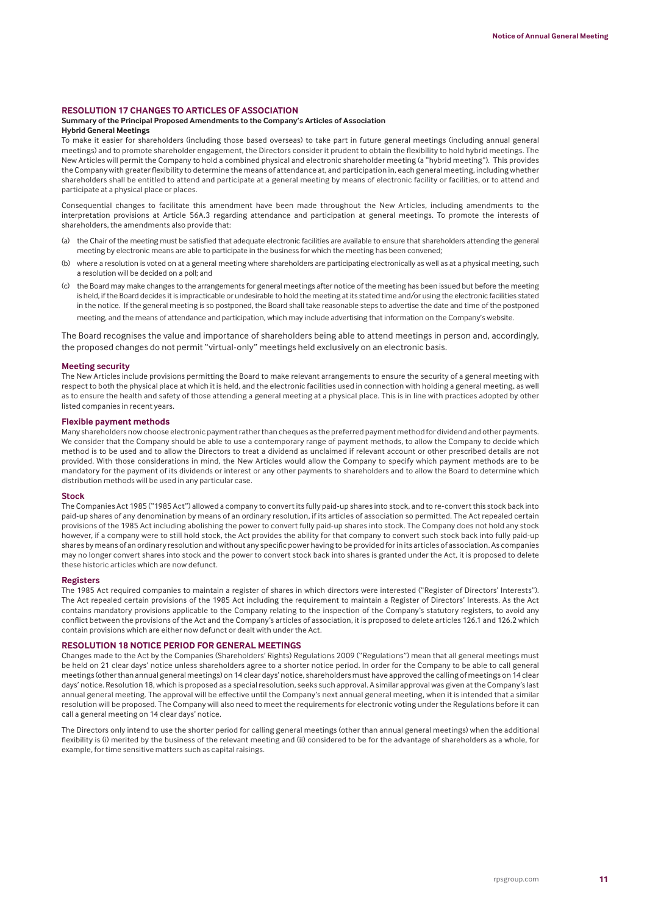#### **RESOLUTION 17 CHANGES TO ARTICLES OF ASSOCIATION**

#### **Summary of the Principal Proposed Amendments to the Company's Articles of Association Hybrid General Meetings**

To make it easier for shareholders (including those based overseas) to take part in future general meetings (including annual general meetings) and to promote shareholder engagement, the Directors consider it prudent to obtain the flexibility to hold hybrid meetings. The New Articles will permit the Company to hold a combined physical and electronic shareholder meeting (a "hybrid meeting"). This provides the Company with greater flexibility to determine the means of attendance at, and participation in, each general meeting, including whether shareholders shall be entitled to attend and participate at a general meeting by means of electronic facility or facilities, or to attend and participate at a physical place or places.

Consequential changes to facilitate this amendment have been made throughout the New Articles, including amendments to the interpretation provisions at Article 56A.3 regarding attendance and participation at general meetings. To promote the interests of shareholders, the amendments also provide that:

- (a) the Chair of the meeting must be satisfied that adequate electronic facilities are available to ensure that shareholders attending the general meeting by electronic means are able to participate in the business for which the meeting has been convened;
- (b) where a resolution is voted on at a general meeting where shareholders are participating electronically as well as at a physical meeting, such a resolution will be decided on a poll; and
- (c) the Board may make changes to the arrangements for general meetings after notice of the meeting has been issued but before the meeting is held, if the Board decides it is impracticable or undesirable to hold the meeting at its stated time and/or using the electronic facilities stated in the notice. If the general meeting is so postponed, the Board shall take reasonable steps to advertise the date and time of the postponed meeting, and the means of attendance and participation, which may include advertising that information on the Company's website.

The Board recognises the value and importance of shareholders being able to attend meetings in person and, accordingly, the proposed changes do not permit "virtual-only" meetings held exclusively on an electronic basis.

#### **Meeting security**

The New Articles include provisions permitting the Board to make relevant arrangements to ensure the security of a general meeting with respect to both the physical place at which it is held, and the electronic facilities used in connection with holding a general meeting, as well as to ensure the health and safety of those attending a general meeting at a physical place. This is in line with practices adopted by other listed companies in recent years.

#### **Flexible payment methods**

Many shareholders now choose electronic payment rather than cheques as the preferred payment method for dividend and other payments. We consider that the Company should be able to use a contemporary range of payment methods, to allow the Company to decide which method is to be used and to allow the Directors to treat a dividend as unclaimed if relevant account or other prescribed details are not provided. With those considerations in mind, the New Articles would allow the Company to specify which payment methods are to be mandatory for the payment of its dividends or interest or any other payments to shareholders and to allow the Board to determine which distribution methods will be used in any particular case.

#### **Stock**

The Companies Act 1985 ("1985 Act") allowed a company to convert its fully paid-up shares into stock, and to re-convert this stock back into paid-up shares of any denomination by means of an ordinary resolution, if its articles of association so permitted. The Act repealed certain provisions of the 1985 Act including abolishing the power to convert fully paid-up shares into stock. The Company does not hold any stock however, if a company were to still hold stock, the Act provides the ability for that company to convert such stock back into fully paid-up shares by means of an ordinary resolution and without any specific power having to be provided for in its articles of association. As companies may no longer convert shares into stock and the power to convert stock back into shares is granted under the Act, it is proposed to delete these historic articles which are now defunct.

#### **Registers**

The 1985 Act required companies to maintain a register of shares in which directors were interested ("Register of Directors' Interests"). The Act repealed certain provisions of the 1985 Act including the requirement to maintain a Register of Directors' Interests. As the Act contains mandatory provisions applicable to the Company relating to the inspection of the Company's statutory registers, to avoid any conflict between the provisions of the Act and the Company's articles of association, it is proposed to delete articles 126.1 and 126.2 which contain provisions which are either now defunct or dealt with under the Act.

### **RESOLUTION 18 NOTICE PERIOD FOR GENERAL MEETINGS**

Changes made to the Act by the Companies (Shareholders' Rights) Regulations 2009 ("Regulations") mean that all general meetings must be held on 21 clear days' notice unless shareholders agree to a shorter notice period. In order for the Company to be able to call general meetings (other than annual general meetings) on 14 clear days' notice, shareholders must have approved the calling of meetings on 14 clear days' notice. Resolution 18, which is proposed as a special resolution, seeks such approval. A similar approval was given at the Company's last annual general meeting. The approval will be effective until the Company's next annual general meeting, when it is intended that a similar resolution will be proposed. The Company will also need to meet the requirements for electronic voting under the Regulations before it can call a general meeting on 14 clear days' notice.

The Directors only intend to use the shorter period for calling general meetings (other than annual general meetings) when the additional flexibility is (i) merited by the business of the relevant meeting and (ii) considered to be for the advantage of shareholders as a whole, for example, for time sensitive matters such as capital raisings.